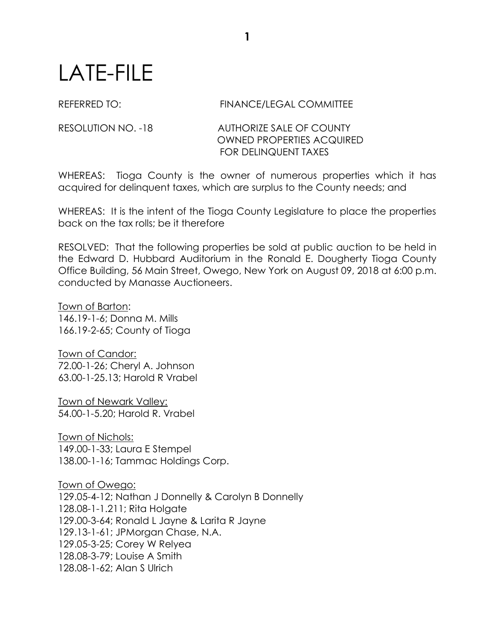## LATE-FILE

## REFERRED TO: FINANCE/LEGAL COMMITTEE

## RESOLUTION NO. -18 AUTHORIZE SALE OF COUNTY OWNED PROPERTIES ACQUIRED FOR DELINQUENT TAXES

WHEREAS: Tioga County is the owner of numerous properties which it has acquired for delinquent taxes, which are surplus to the County needs; and

WHEREAS: It is the intent of the Tioga County Legislature to place the properties back on the tax rolls; be it therefore

RESOLVED: That the following properties be sold at public auction to be held in the Edward D. Hubbard Auditorium in the Ronald E. Dougherty Tioga County Office Building, 56 Main Street, Owego, New York on August 09, 2018 at 6:00 p.m. conducted by Manasse Auctioneers.

Town of Barton: 146.19-1-6; Donna M. Mills 166.19-2-65; County of Tioga

Town of Candor: 72.00-1-26; Cheryl A. Johnson 63.00-1-25.13; Harold R Vrabel

Town of Newark Valley: 54.00-1-5.20; Harold R. Vrabel

Town of Nichols: 149.00-1-33; Laura E Stempel 138.00-1-16; Tammac Holdings Corp.

Town of Owego: 129.05-4-12; Nathan J Donnelly & Carolyn B Donnelly 128.08-1-1.211; Rita Holgate 129.00-3-64; Ronald L Jayne & Larita R Jayne 129.13-1-61; JPMorgan Chase, N.A. 129.05-3-25; Corey W Relyea 128.08-3-79; Louise A Smith 128.08-1-62; Alan S Ulrich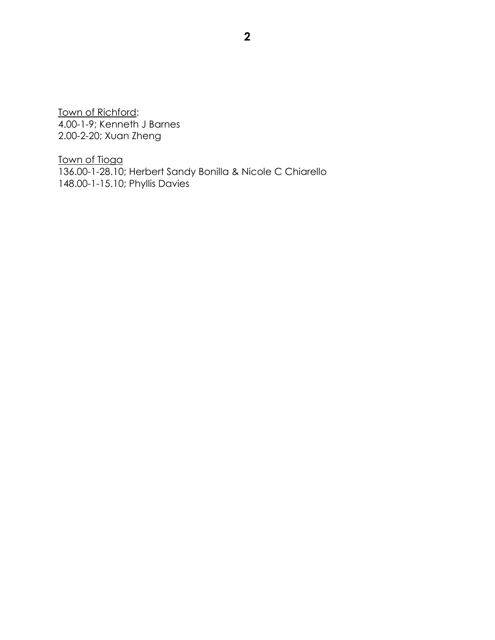Town of Richford: 4.00-1-9; Kenneth J Barnes 2.00-2-20; Xuan Zheng

Town of Tioga 136.00-1-28.10; Herbert Sandy Bonilla & Nicole C Chiarello 148.00-1-15.10; Phyllis Davies